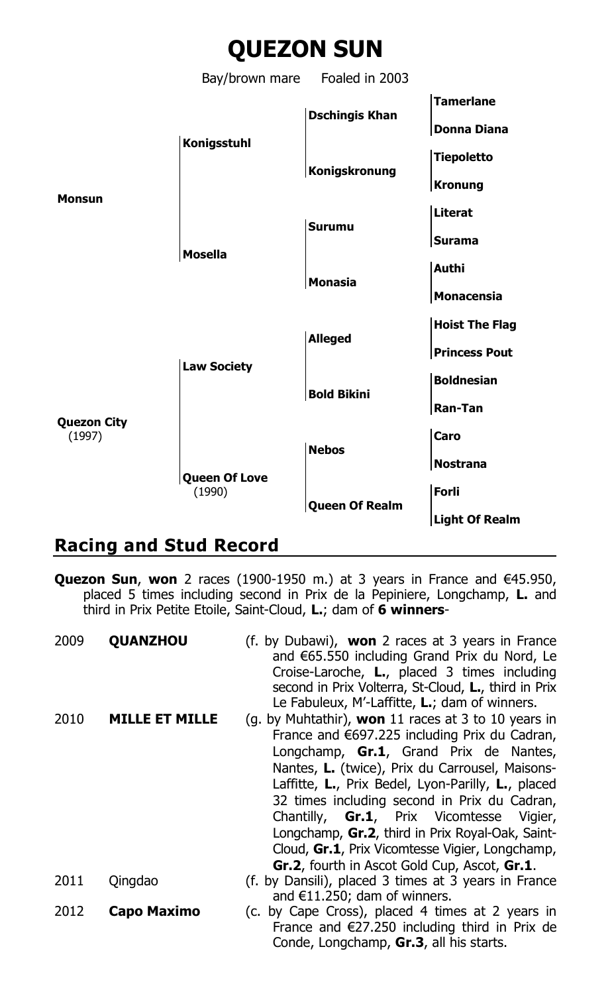

## **Racing and Stud Record**

**Quezon Sun**, **won** 2 races (1900-1950 m.) at 3 years in France and €45.950, placed 5 times including second in Prix de la Pepiniere, Longchamp, **L.** and third in Prix Petite Etoile, Saint-Cloud, **L.**; dam of **6 winners**-

| 2009 | <b>QUANZHOU</b>       | (f. by Dubawi), <b>won</b> 2 races at 3 years in France<br>and €65.550 including Grand Prix du Nord, Le<br>Croise-Laroche, <b>L.</b> , placed 3 times including<br>second in Prix Volterra, St-Cloud, L., third in Prix<br>Le Fabuleux, M'-Laffitte, L.; dam of winners.                                                                                                                                                                                                                                                   |
|------|-----------------------|----------------------------------------------------------------------------------------------------------------------------------------------------------------------------------------------------------------------------------------------------------------------------------------------------------------------------------------------------------------------------------------------------------------------------------------------------------------------------------------------------------------------------|
| 2010 | <b>MILLE ET MILLE</b> | (g. by Muhtathir), won 11 races at 3 to 10 years in<br>France and $€697.225$ including Prix du Cadran,<br>Longchamp, Gr.1, Grand Prix de Nantes,<br>Nantes, L. (twice), Prix du Carrousel, Maisons-<br>Laffitte, L., Prix Bedel, Lyon-Parilly, L., placed<br>32 times including second in Prix du Cadran,<br><b>Gr.1</b> , Prix Vicomtesse<br>Chantilly,<br>Vigier,<br>Longchamp, Gr.2, third in Prix Royal-Oak, Saint-<br>Cloud, Gr.1, Prix Vicomtesse Vigier, Longchamp,<br>Gr.2, fourth in Ascot Gold Cup, Ascot, Gr.1. |
| 2011 | Qingdao               | (f. by Dansili), placed 3 times at 3 years in France<br>and $E$ 11.250; dam of winners.                                                                                                                                                                                                                                                                                                                                                                                                                                    |
| 2012 | Capo Maximo           | (c. by Cape Cross), placed 4 times at 2 years in<br>France and $\epsilon$ 27.250 including third in Prix de<br>Conde, Longchamp, Gr.3, all his starts.                                                                                                                                                                                                                                                                                                                                                                     |